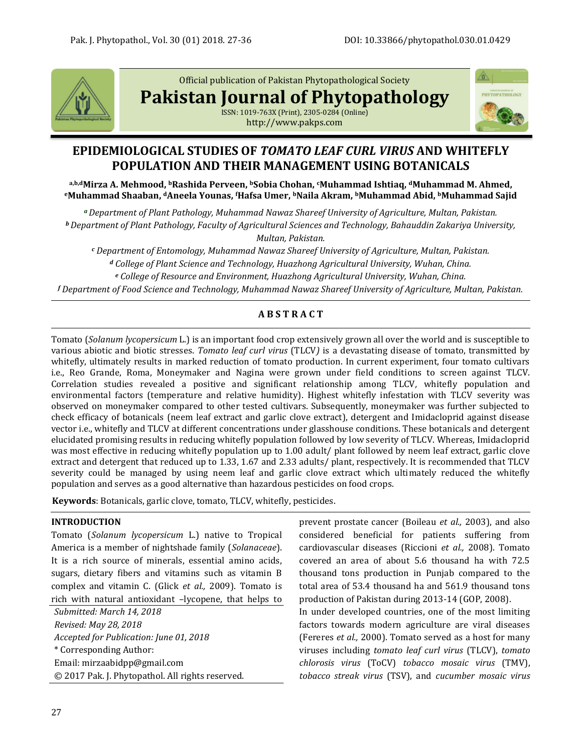

Official publication of Pakistan Phytopathological Society

**Pakistan Journal of Phytopathology**

ISSN: 1019-763X (Print), 2305-0284 (Online) http://www.pakps.com



# **EPIDEMIOLOGICAL STUDIES OF** *TOMATO LEAF CURL VIRUS* **AND WHITEFLY POPULATION AND THEIR MANAGEMENT USING BOTANICALS**

**a,b,dMirza A. Mehmood, bRashida Perveen, bSobia Chohan, cMuhammad Ishtiaq, <sup>d</sup>Muhammad M. Ahmed, <sup>e</sup>Muhammad Shaaban, <sup>d</sup>Aneela Younas, <sup>f</sup>Hafsa Umer, bNaila Akram, bMuhammad Abid, bMuhammad Sajid**

*<sup>a</sup>Department of Plant Pathology, Muhammad Nawaz Shareef University of Agriculture, Multan, Pakistan. <sup>b</sup>Department of Plant Pathology, Faculty of Agricultural Sciences and Technology, Bahauddin Zakariya University, Multan, Pakistan.*

*<sup>c</sup> Department of Entomology, Muhammad Nawaz Shareef University of Agriculture, Multan, Pakistan. <sup>d</sup> College of Plant Science and Technology, Huazhong Agricultural University, Wuhan, China. <sup>e</sup> College of Resource and Environment, Huazhong Agricultural University, Wuhan, China.*

*<sup>f</sup> Department of Food Science and Technology, Muhammad Nawaz Shareef University of Agriculture, Multan, Pakistan.*

## **A B S T R A C T**

Tomato (*Solanum lycopersicum* L.) is an important food crop extensively grown all over the world and is susceptible to various abiotic and biotic stresses. *Tomato leaf curl virus* (TLCV*)* is a devastating disease of tomato, transmitted by whitefly, ultimately results in marked reduction of tomato production. In current experiment, four tomato cultivars i.e., Reo Grande, Roma, Moneymaker and Nagina were grown under field conditions to screen against TLCV. Correlation studies revealed a positive and significant relationship among TLCV*,* whitefly population and environmental factors (temperature and relative humidity). Highest whitefly infestation with TLCV severity was observed on moneymaker compared to other tested cultivars. Subsequently, moneymaker was further subjected to check efficacy of botanicals (neem leaf extract and garlic clove extract), detergent and Imidacloprid against disease vector i.e., whitefly and TLCV at different concentrations under glasshouse conditions. These botanicals and detergent elucidated promising results in reducing whitefly population followed by low severity of TLCV. Whereas, Imidacloprid was most effective in reducing whitefly population up to 1.00 adult/ plant followed by neem leaf extract, garlic clove extract and detergent that reduced up to 1.33, 1.67 and 2.33 adults/ plant, respectively. It is recommended that TLCV severity could be managed by using neem leaf and garlic clove extract which ultimately reduced the whitefly population and serves as a good alternative than hazardous pesticides on food crops.

**Keywords**: Botanicals, garlic clove, tomato, TLCV, whitefly, pesticides.

## **INTRODUCTION**

Tomato (*Solanum lycopersicum* L.) native to Tropical America is a member of nightshade family (*Solanaceae*). It is a rich source of minerals, essential amino acids, sugars, dietary fibers and vitamins such as vitamin B complex and vitamin C. (Glick *et al.,* 2009). Tomato is rich with natural antioxidant –lycopene, that helps to

*Submitted: March 14, 2018 Revised: May 28, 2018 Accepted for Publication: June 01, 2018* \* Corresponding Author: Email[: mirzaabidpp@gmail.com](mailto:mirzaabidpp@gmail.com) © 2017 Pak. J. Phytopathol. All rights reserved. prevent prostate cancer (Boileau *et al.,* 2003), and also considered beneficial for patients suffering from cardiovascular diseases (Riccioni *et al.,* 2008). Tomato covered an area of about 5.6 thousand ha with 72.5 thousand tons production in Punjab compared to the total area of 53.4 thousand ha and 561.9 thousand tons production of Pakistan during 2013-14 (GOP, 2008).

In under developed countries, one of the most limiting factors towards modern agriculture are viral diseases (Fereres *et al.,* 2000). Tomato served as a host for many viruses including *tomato leaf curl virus* (TLCV), *tomato chlorosis virus* (ToCV) *tobacco mosaic virus* (TMV), *tobacco streak virus* (TSV), and *cucumber mosaic virus*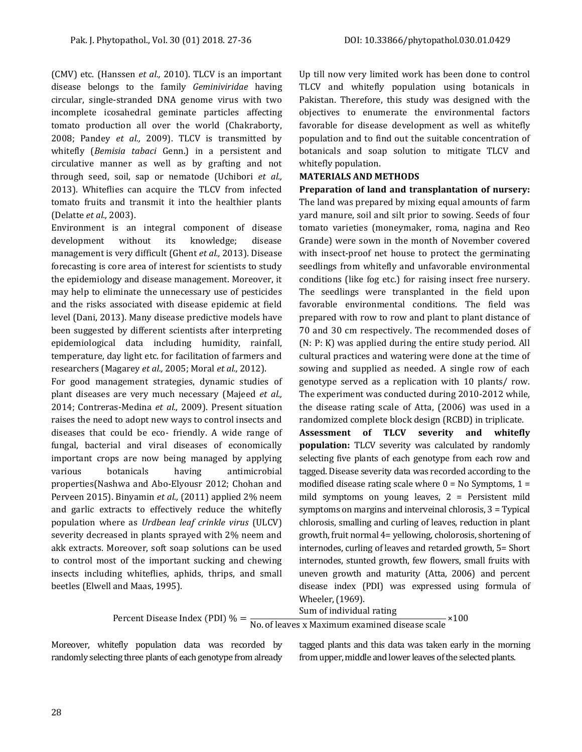(CMV) etc. (Hanssen *et al.,* 2010). TLCV is an important disease belongs to the family *Geminiviridae* having circular, single-stranded DNA genome virus with two incomplete icosahedral geminate particles affecting tomato production all over the world (Chakraborty, 2008; Pandey *et al.,* 2009). TLCV is transmitted by whitefly (*Bemisia tabaci* Genn.) in a persistent and circulative manner as well as by grafting and not through seed, soil, sap or nematode (Uchibori *et al.,* 2013). Whiteflies can acquire the TLCV from infected tomato fruits and transmit it into the healthier plants (Delatte *et al.,* 2003).

Environment is an integral component of disease development without its knowledge; disease management is very difficult (Ghent *et al.,* 2013). Disease forecasting is core area of interest for scientists to study the epidemiology and disease management. Moreover, it may help to eliminate the unnecessary use of pesticides and the risks associated with disease epidemic at field level (Dani, 2013). Many disease predictive models have been suggested by different scientists after interpreting epidemiological data including humidity, rainfall, temperature, day light etc. for facilitation of farmers and researchers (Magarey *et al.,* 2005; Moral *et al.,* 2012).

For good management strategies, dynamic studies of plant diseases are very much necessary (Majeed *et al.,* 2014; Contreras-Medina *et al.,* 2009). Present situation raises the need to adopt new ways to control insects and diseases that could be eco- friendly. A wide range of fungal, bacterial and viral diseases of economically important crops are now being managed by applying various botanicals having antimicrobial properties(Nashwa and Abo-Elyousr 2012; Chohan and Perveen 2015). Binyamin *et al.,* (2011) applied 2% neem and garlic extracts to effectively reduce the whitefly population where as *Urdbean leaf crinkle virus* (ULCV) severity decreased in plants sprayed with 2% neem and akk extracts. Moreover, soft soap solutions can be used to control most of the important sucking and chewing insects including whiteflies, aphids, thrips, and small beetles (Elwell and Maas, 1995).

Up till now very limited work has been done to control TLCV and whitefly population using botanicals in Pakistan. Therefore, this study was designed with the objectives to enumerate the environmental factors favorable for disease development as well as whitefly population and to find out the suitable concentration of botanicals and soap solution to mitigate TLCV and whitefly population.

#### **MATERIALS AND METHODS**

**Preparation of land and transplantation of nursery:**  The land was prepared by mixing equal amounts of farm yard manure, soil and silt prior to sowing. Seeds of four tomato varieties (moneymaker, roma, nagina and Reo Grande) were sown in the month of November covered with insect-proof net house to protect the germinating seedlings from whitefly and unfavorable environmental conditions (like fog etc.) for raising insect free nursery. The seedlings were transplanted in the field upon favorable environmental conditions. The field was prepared with row to row and plant to plant distance of 70 and 30 cm respectively. The recommended doses of (N: P: K) was applied during the entire study period. All cultural practices and watering were done at the time of sowing and supplied as needed. A single row of each genotype served as a replication with 10 plants/ row. The experiment was conducted during 2010-2012 while, the disease rating scale of Atta, (2006) was used in a randomized complete block design (RCBD) in triplicate. **Assessment of TLCV severity and whitefly population:** TLCV severity was calculated by randomly

selecting five plants of each genotype from each row and tagged. Disease severity data was recorded according to the modified disease rating scale where  $0 = No$  Symptoms,  $1 =$ mild symptoms on young leaves, 2 = Persistent mild symptoms on margins and interveinal chlorosis, 3 = Typical chlorosis, smalling and curling of leaves, reduction in plant growth, fruit normal 4= yellowing, cholorosis, shortening of internodes, curling of leaves and retarded growth, 5= Short internodes, stunted growth, few flowers, small fruits with uneven growth and maturity (Atta, 2006) and percent disease index (PDI) was expressed using formula of Wheeler, (1969).

Percent Disease Index (PDI) 
$$
\% = \frac{\text{Sum of individual rating}}{\text{No. of leaves x Maximum examined disease scale}} \times 100
$$

Moreover, whitefly population data was recorded by randomly selecting three plants of each genotype from already tagged plants and this data was taken early in the morning from upper, middle and lower leaves of the selected plants.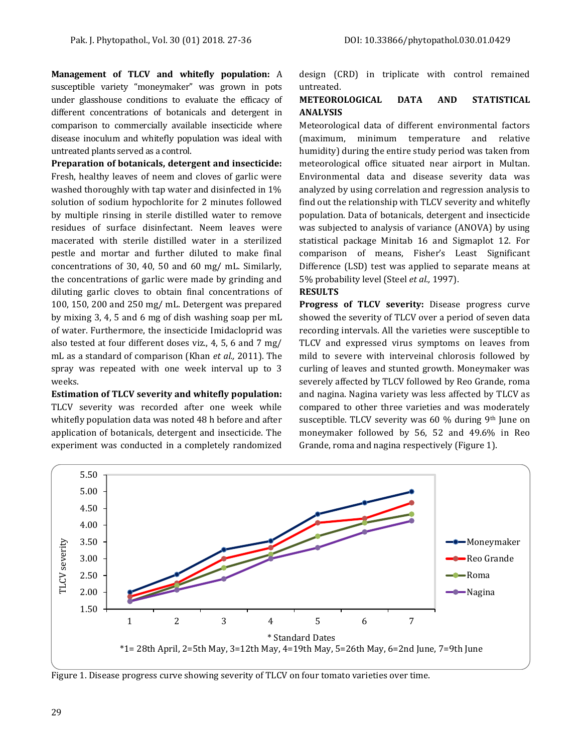**Management of TLCV and whitefly population:** A susceptible variety "moneymaker" was grown in pots under glasshouse conditions to evaluate the efficacy of different concentrations of botanicals and detergent in comparison to commercially available insecticide where disease inoculum and whitefly population was ideal with untreated plants served as a control.

**Preparation of botanicals, detergent and insecticide:**  Fresh, healthy leaves of neem and cloves of garlic were washed thoroughly with tap water and disinfected in 1% solution of sodium hypochlorite for 2 minutes followed by multiple rinsing in sterile distilled water to remove residues of surface disinfectant. Neem leaves were macerated with sterile distilled water in a sterilized pestle and mortar and further diluted to make final concentrations of 30, 40, 50 and 60 mg/ mL. Similarly, the concentrations of garlic were made by grinding and diluting garlic cloves to obtain final concentrations of 100, 150, 200 and 250 mg/ mL. Detergent was prepared by mixing 3, 4, 5 and 6 mg of dish washing soap per mL of water. Furthermore, the insecticide Imidacloprid was also tested at four different doses viz., 4, 5, 6 and 7 mg/ mL as a standard of comparison (Khan *et al.,* 2011). The spray was repeated with one week interval up to 3 weeks.

**Estimation of TLCV severity and whitefly population:**  TLCV severity was recorded after one week while whitefly population data was noted 48 h before and after application of botanicals, detergent and insecticide. The experiment was conducted in a completely randomized design (CRD) in triplicate with control remained untreated.

## **METEOROLOGICAL DATA AND STATISTICAL ANALYSIS**

Meteorological data of different environmental factors (maximum, minimum temperature and relative humidity) during the entire study period was taken from meteorological office situated near airport in Multan. Environmental data and disease severity data was analyzed by using correlation and regression analysis to find out the relationship with TLCV severity and whitefly population. Data of botanicals, detergent and insecticide was subjected to analysis of variance (ANOVA) by using statistical package Minitab 16 and Sigmaplot 12. For comparison of means, Fisher's Least Significant Difference (LSD) test was applied to separate means at 5% probability level (Steel *et al.,* 1997).

## **RESULTS**

**Progress of TLCV severity:** Disease progress curve showed the severity of TLCV over a period of seven data recording intervals. All the varieties were susceptible to TLCV and expressed virus symptoms on leaves from mild to severe with interveinal chlorosis followed by curling of leaves and stunted growth. Moneymaker was severely affected by TLCV followed by Reo Grande, roma and nagina. Nagina variety was less affected by TLCV as compared to other three varieties and was moderately susceptible. TLCV severity was 60 % during 9th June on moneymaker followed by 56, 52 and 49.6% in Reo Grande, roma and nagina respectively (Figure 1).



Figure 1. Disease progress curve showing severity of TLCV on four tomato varieties over time.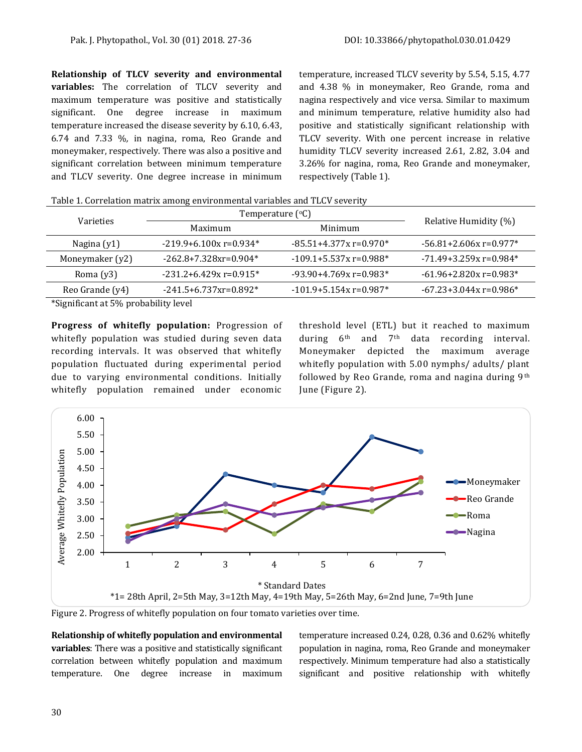**Relationship of TLCV severity and environmental variables:** The correlation of TLCV severity and maximum temperature was positive and statistically significant. One degree increase in maximum temperature increased the disease severity by 6.10, 6.43, 6.74 and 7.33 %*,* in nagina, roma, Reo Grande and moneymaker, respectively. There was also a positive and significant correlation between minimum temperature and TLCV severity. One degree increase in minimum temperature, increased TLCV severity by 5.54, 5.15, 4.77 and 4.38 % in moneymaker, Reo Grande, roma and nagina respectively and vice versa. Similar to maximum and minimum temperature, relative humidity also had positive and statistically significant relationship with TLCV severity. With one percent increase in relative humidity TLCV severity increased 2.61, 2.82, 3.04 and 3.26% for nagina, roma, Reo Grande and moneymaker, respectively (Table 1).

Table 1. Correlation matrix among environmental variables and TLCV severity

| Varieties       | Temperature $({}^{\circ}C)$            |                            |                             |  |  |
|-----------------|----------------------------------------|----------------------------|-----------------------------|--|--|
|                 | Maximum                                | Minimum                    | Relative Humidity (%)       |  |  |
| Nagina (y1)     | $-219.9 + 6.100x = 0.934*$             | $-85.51 + 4.377x$ r=0.970* | $-56.81 + 2.606x = 0.977$ * |  |  |
| Moneymaker (y2) | $-262.8+7.328$ xr=0.904*               | $-109.1 + 5.537x$ r=0.988* | $-71.49 + 3.259x$ r=0.984*  |  |  |
| Roma $(y3)$     | $-231.2 + 6.429x = 0.915*$             | $-93.90 + 4.769x = 0.983*$ | $-61.96 + 2.820x = 0.983*$  |  |  |
| Reo Grande (y4) | $-241.5 + 6.737$ xr=0.892 <sup>*</sup> | $-101.9 + 5.154x = 0.987*$ | $-67.23 + 3.044x = 0.986*$  |  |  |
|                 |                                        |                            |                             |  |  |

\*Significant at 5% probability level

**Progress of whitefly population:** Progression of whitefly population was studied during seven data recording intervals. It was observed that whitefly population fluctuated during experimental period due to varying environmental conditions. Initially whitefly population remained under economic threshold level (ETL) but it reached to maximum during 6<sup>th</sup> and 7<sup>th</sup> data recording interval. Moneymaker depicted the maximum average whitefly population with 5.00 nymphs/ adults/ plant followed by Reo Grande, roma and nagina during 9th June (Figure 2).



Figure 2. Progress of whitefly population on four tomato varieties over time.

**Relationship of whitefly population and environmental variables**: There was a positive and statistically significant correlation between whitefly population and maximum temperature. One degree increase in maximum temperature increased 0.24, 0.28, 0.36 and 0.62% whitefly population in nagina, roma, Reo Grande and moneymaker respectively. Minimum temperature had also a statistically significant and positive relationship with whitefly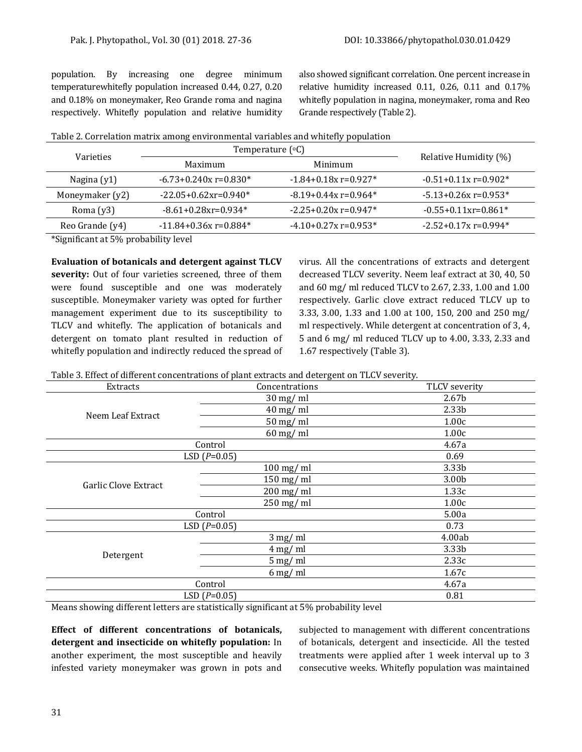population. By increasing one degree minimum temperaturewhitefly population increased 0.44, 0.27, 0.20 and 0.18% on moneymaker, Reo Grande roma and nagina respectively. Whitefly population and relative humidity also showed significant correlation. One percent increase in relative humidity increased 0.11, 0.26, 0.11 and 0.17% whitefly population in nagina, moneymaker, roma and Reo Grande respectively (Table 2).

| <b>Varieties</b> | Temperature $({}^{\circ}C)$         | Relative Humidity (%)     |                           |
|------------------|-------------------------------------|---------------------------|---------------------------|
|                  | Minimum<br>Maximum                  |                           |                           |
| Nagina $(y1)$    | $-6.73 + 0.240x = 0.830*$           | $-1.84 + 0.18x = 0.927$ * | $-0.51+0.11x$ r=0.902*    |
| Moneymaker (y2)  | $-22.05+0.62$ xr=0.940 <sup>*</sup> | $-8.19 + 0.44x = 0.964*$  | $-5.13 + 0.26x = 0.953*$  |
| Roma $(y3)$      | $-8.61+0.28$ xr=0.934*              | $-2.25+0.20x = 0.947*$    | $-0.55+0.11$ x $r=0.861*$ |
| Reo Grande (y4)  | $-11.84 + 0.36x = 0.884*$           | $-4.10+0.27x = 0.953*$    | $-2.52 + 0.17x = 0.994*$  |

\*Significant at 5% probability level

**Evaluation of botanicals and detergent against TLCV severity:** Out of four varieties screened, three of them were found susceptible and one was moderately susceptible. Moneymaker variety was opted for further management experiment due to its susceptibility to TLCV and whitefly. The application of botanicals and detergent on tomato plant resulted in reduction of whitefly population and indirectly reduced the spread of virus. All the concentrations of extracts and detergent decreased TLCV severity. Neem leaf extract at 30, 40, 50 and 60 mg/ ml reduced TLCV to 2.67, 2.33, 1.00 and 1.00 respectively. Garlic clove extract reduced TLCV up to 3.33, 3.00, 1.33 and 1.00 at 100, 150, 200 and 250 mg/ ml respectively. While detergent at concentration of 3, 4, 5 and 6 mg/ ml reduced TLCV up to 4.00, 3.33, 2.33 and 1.67 respectively (Table 3).

| Table 3. Effect of different concentrations of plant extracts and detergent on TLCV severity. |
|-----------------------------------------------------------------------------------------------|
|-----------------------------------------------------------------------------------------------|

| Extracts                    | Concentrations     | TLCV severity     |  |  |
|-----------------------------|--------------------|-------------------|--|--|
|                             | $30 \text{ mg/ml}$ | 2.67 <sub>b</sub> |  |  |
|                             | $40 \text{ mg/ml}$ | 2.33 <sub>b</sub> |  |  |
| Neem Leaf Extract           | $50$ mg/ml         | 1.00c             |  |  |
|                             | $60$ mg/ml         | 1.00c             |  |  |
| Control                     |                    | 4.67a             |  |  |
|                             | LSD $(P=0.05)$     | 0.69              |  |  |
|                             | $100$ mg/ml        | 3.33b             |  |  |
| <b>Garlic Clove Extract</b> | $150$ mg/ml        | 3.00b             |  |  |
|                             | $200$ mg/ml        | 1.33c             |  |  |
|                             | $250$ mg/ml        | 1.00c             |  |  |
| Control                     |                    | 5.00a             |  |  |
|                             | LSD $(P=0.05)$     | 0.73              |  |  |
|                             | $3$ mg/ml          | 4.00ab            |  |  |
|                             | $4$ mg/ml          | 3.33b             |  |  |
| Detergent                   | $5$ mg/ml          | 2.33c             |  |  |
|                             | $6$ mg/ml          | 1.67c             |  |  |
| Control                     |                    | 4.67a             |  |  |
|                             | LSD $(P=0.05)$     | 0.81              |  |  |

Means showing different letters are statistically significant at 5% probability level

**Effect of different concentrations of botanicals, detergent and insecticide on whitefly population:** In another experiment, the most susceptible and heavily infested variety moneymaker was grown in pots and subjected to management with different concentrations of botanicals, detergent and insecticide. All the tested treatments were applied after 1 week interval up to 3 consecutive weeks. Whitefly population was maintained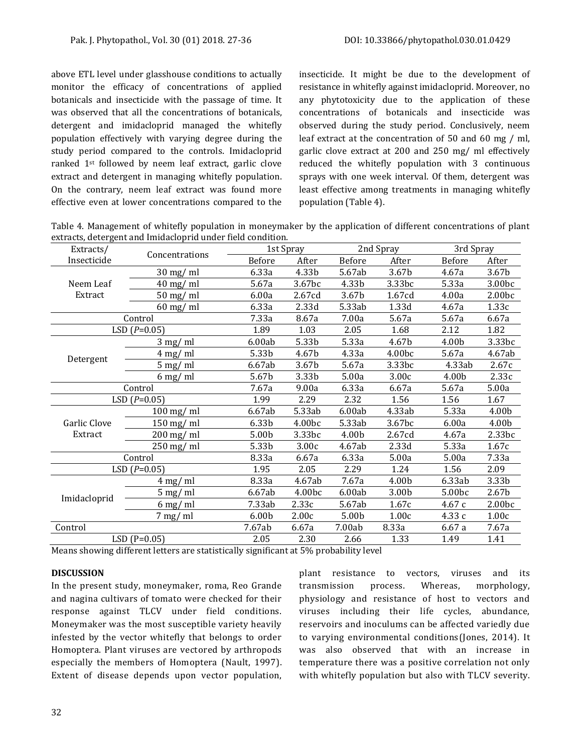above ETL level under glasshouse conditions to actually monitor the efficacy of concentrations of applied botanicals and insecticide with the passage of time. It was observed that all the concentrations of botanicals, detergent and imidacloprid managed the whitefly population effectively with varying degree during the study period compared to the controls. Imidacloprid ranked 1st followed by neem leaf extract, garlic clove extract and detergent in managing whitefly population. On the contrary, neem leaf extract was found more effective even at lower concentrations compared to the insecticide. It might be due to the development of resistance in whitefly against imidacloprid. Moreover, no any phytotoxicity due to the application of these concentrations of botanicals and insecticide was observed during the study period. Conclusively, neem leaf extract at the concentration of 50 and 60 mg / ml, garlic clove extract at 200 and 250 mg/ ml effectively reduced the whitefly population with 3 continuous sprays with one week interval. Of them, detergent was least effective among treatments in managing whitefly population (Table 4).

Table 4. Management of whitefly population in moneymaker by the application of different concentrations of plant extracts, detergent and Imidacloprid under field condition.

| Extracts/               | Concentrations |                   | 1st Spray |        | 2nd Spray |        | 3rd Spray          |  |
|-------------------------|----------------|-------------------|-----------|--------|-----------|--------|--------------------|--|
| Insecticide             |                | <b>Before</b>     | After     | Before | After     | Before | After              |  |
|                         | $30$ mg/ ml    | 6.33a             | 4.33b     | 5.67ab | 3.67b     | 4.67a  | 3.67b              |  |
| Neem Leaf               | $40$ mg/ ml    | 5.67a             | 3.67bc    | 4.33b  | 3.33bc    | 5.33a  | 3.00bc             |  |
| Extract                 | 50 mg/ ml      | 6.00a             | 2.67cd    | 3.67b  | 1.67cd    | 4.00a  | 2.00bc             |  |
|                         | 60 mg/ ml      | 6.33a             | 2.33d     | 5.33ab | 1.33d     | 4.67a  | 1.33c              |  |
| Control                 |                | 7.33a             | 8.67a     | 7.00a  | 5.67a     | 5.67a  | 6.67a              |  |
| LSD $(P=0.05)$          |                | 1.89              | 1.03      | 2.05   | 1.68      | 2.12   | 1.82               |  |
| Detergent               | $3$ mg/ ml     | 6.00ab            | 5.33b     | 5.33a  | 4.67b     | 4.00b  | 3.33bc             |  |
|                         | $4$ mg/ ml     | 5.33b             | 4.67b     | 4.33a  | 4.00bc    | 5.67a  | 4.67ab             |  |
|                         | $5$ mg/ ml     | 6.67ab            | 3.67b     | 5.67a  | 3.33bc    | 4.33ab | 2.67c              |  |
|                         | $6$ mg/ ml     | 5.67b             | 3.33b     | 5.00a  | 3.00c     | 4.00b  | 2.33c              |  |
| Control                 |                | 7.67a             | 9.00a     | 6.33a  | 6.67a     | 5.67a  | 5.00a              |  |
| LSD $(P=0.05)$          |                | 1.99              | 2.29      | 2.32   | 1.56      | 1.56   | 1.67               |  |
| Garlic Clove<br>Extract | $100$ mg/ml    | 6.67ab            | 5.33ab    | 6.00ab | 4.33ab    | 5.33a  | 4.00b              |  |
|                         | $150$ mg/ml    | 6.33b             | 4.00bc    | 5.33ab | 3.67bc    | 6.00a  | 4.00b              |  |
|                         | $200$ mg/ml    | 5.00b             | 3.33bc    | 4.00b  | 2.67cd    | 4.67a  | 2.33bc             |  |
|                         | $250$ mg/ml    | 5.33b             | 3.00c     | 4.67ab | 2.33d     | 5.33a  | 1.67c              |  |
| Control                 |                | 8.33a             | 6.67a     | 6.33a  | 5.00a     | 5.00a  | 7.33a              |  |
| LSD $(P=0.05)$          |                | 1.95              | 2.05      | 2.29   | 1.24      | 1.56   | 2.09               |  |
| Imidacloprid            | $4$ mg/ml      | 8.33a             | 4.67ab    | 7.67a  | 4.00b     | 6.33ab | 3.33b              |  |
|                         | $5$ mg/ ml     | 6.67ab            | 4.00bc    | 6.00ab | 3.00b     | 5.00bc | 2.67b              |  |
|                         | $6$ mg/ ml     | 7.33ab            | 2.33c     | 5.67ab | 1.67c     | 4.67c  | 2.00 <sub>bc</sub> |  |
|                         | $7$ mg/ ml     | 6.00 <sub>b</sub> | 2.00c     | 5.00b  | 1.00c     | 4.33c  | 1.00c              |  |
| Control                 |                | 7.67ab            | 6.67a     | 7.00ab | 8.33a     | 6.67a  | 7.67a              |  |
| $LSD(P=0.05)$           |                | 2.05              | 2.30      | 2.66   | 1.33      | 1.49   | 1.41               |  |

Means showing different letters are statistically significant at 5% probability level

## **DISCUSSION**

In the present study, moneymaker, roma, Reo Grande and nagina cultivars of tomato were checked for their response against TLCV under field conditions. Moneymaker was the most susceptible variety heavily infested by the vector whitefly that belongs to order Homoptera. Plant viruses are vectored by arthropods especially the members of Homoptera (Nault, 1997). Extent of disease depends upon vector population, plant resistance to vectors, viruses and its transmission process. Whereas, morphology, physiology and resistance of host to vectors and viruses including their life cycles, abundance, reservoirs and inoculums can be affected variedly due to varying environmental conditions(Jones, 2014). It was also observed that with an increase in temperature there was a positive correlation not only with whitefly population but also with TLCV severity.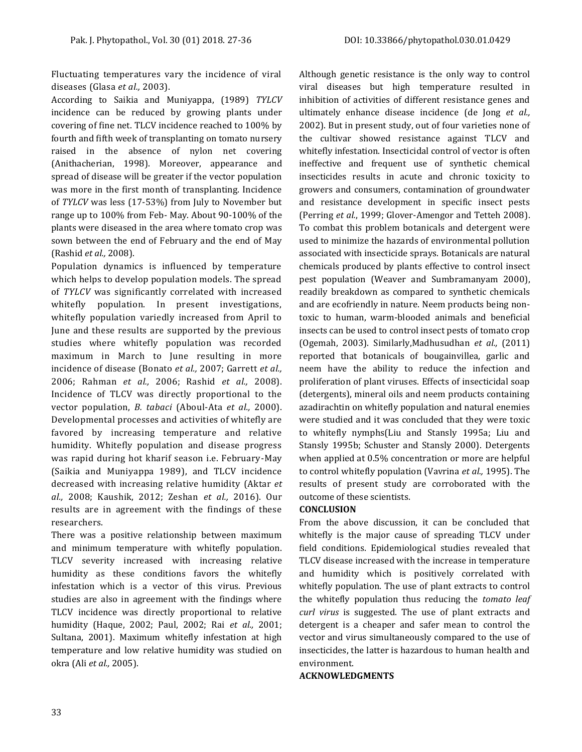Fluctuating temperatures vary the incidence of viral diseases (Glasa *et al.,* 2003).

According to Saikia and Muniyappa, (1989) *TYLCV* incidence can be reduced by growing plants under covering of fine net. TLCV incidence reached to 100% by fourth and fifth week of transplanting on tomato nursery raised in the absence of nylon net covering (Anithacherian, 1998). Moreover, appearance and spread of disease will be greater if the vector population was more in the first month of transplanting. Incidence of *TYLCV* was less (17-53%) from July to November but range up to 100% from Feb- May. About 90-100% of the plants were diseased in the area where tomato crop was sown between the end of February and the end of May (Rashid *et al.,* 2008).

Population dynamics is influenced by temperature which helps to develop population models. The spread of *TYLCV* was significantly correlated with increased whitefly population. In present investigations, whitefly population variedly increased from April to June and these results are supported by the previous studies where whitefly population was recorded maximum in March to June resulting in more incidence of disease (Bonato *et al.,* 2007; Garrett *et al.,* 2006; Rahman *et al.,* 2006; Rashid *et al.,* 2008). Incidence of TLCV was directly proportional to the vector population, *B. tabaci* (Aboul-Ata *et al.,* 2000). Developmental processes and activities of whitefly are favored by increasing temperature and relative humidity. Whitefly population and disease progress was rapid during hot kharif season i.e. February-May (Saikia and Muniyappa 1989), and TLCV incidence decreased with increasing relative humidity (Aktar *et al.,* 2008; Kaushik, 2012; Zeshan *et al.,* 2016). Our results are in agreement with the findings of these researchers.

There was a positive relationship between maximum and minimum temperature with whitefly population. TLCV severity increased with increasing relative humidity as these conditions favors the whitefly infestation which is a vector of this virus. Previous studies are also in agreement with the findings where TLCV incidence was directly proportional to relative humidity (Haque, 2002; Paul, 2002; Rai *et al.,* 2001; Sultana, 2001). Maximum whitefly infestation at high temperature and low relative humidity was studied on okra (Ali *et al.,* 2005).

Although genetic resistance is the only way to control viral diseases but high temperature resulted in inhibition of activities of different resistance genes and ultimately enhance disease incidence (de Jong *et al.,* 2002). But in present study, out of four varieties none of the cultivar showed resistance against TLCV and whitefly infestation. Insecticidal control of vector is often ineffective and frequent use of synthetic chemical insecticides results in acute and chronic toxicity to growers and consumers, contamination of groundwater and resistance development in specific insect pests (Perring *et al.*, 1999; Glover-Amengor and Tetteh 2008). To combat this problem botanicals and detergent were used to minimize the hazards of environmental pollution associated with insecticide sprays. Botanicals are natural chemicals produced by plants effective to control insect pest population (Weaver and Sumbramanyam 2000), readily breakdown as compared to synthetic chemicals and are ecofriendly in nature. Neem products being nontoxic to human, warm-blooded animals and beneficial insects can be used to control insect pests of tomato crop (Ogemah, 2003). Similarly,Madhusudhan *et al.,* (2011) reported that botanicals of bougainvillea, garlic and neem have the ability to reduce the infection and proliferation of plant viruses. Effects of insecticidal soap (detergents), mineral oils and neem products containing azadirachtin on whitefly population and natural enemies were studied and it was concluded that they were toxic to whitefly nymphs(Liu and Stansly 1995a; Liu and Stansly 1995b; Schuster and Stansly 2000). Detergents when applied at 0.5% concentration or more are helpful to control whitefly population (Vavrina *et al.,* 1995). The results of present study are corroborated with the outcome of these scientists.

## **CONCLUSION**

From the above discussion, it can be concluded that whitefly is the major cause of spreading TLCV under field conditions. Epidemiological studies revealed that TLCV disease increased with the increase in temperature and humidity which is positively correlated with whitefly population. The use of plant extracts to control the whitefly population thus reducing the *tomato leaf curl virus* is suggested. The use of plant extracts and detergent is a cheaper and safer mean to control the vector and virus simultaneously compared to the use of insecticides, the latter is hazardous to human health and environment.

**ACKNOWLEDGMENTS**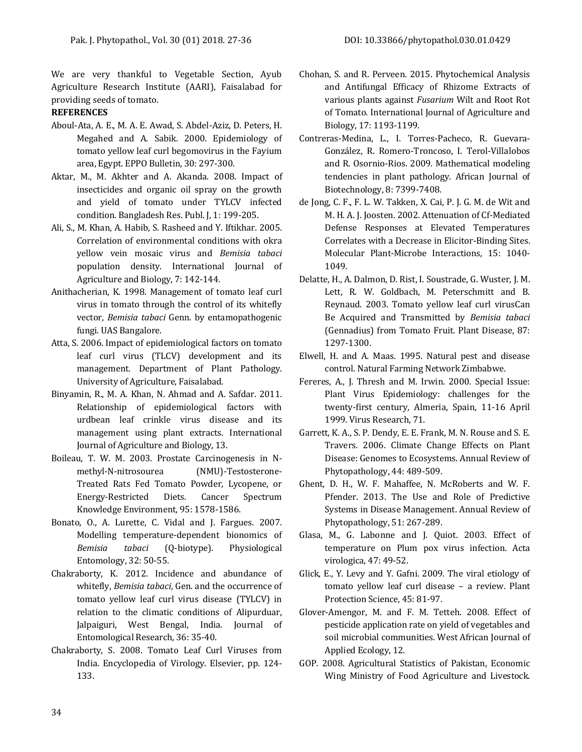We are very thankful to Vegetable Section, Ayub Agriculture Research Institute (AARI), Faisalabad for providing seeds of tomato.

## **REFERENCES**

- Aboul-Ata, A. E., M. A. E. Awad, S. Abdel-Aziz, D. Peters, H. Megahed and A. Sabik. 2000. Epidemiology of tomato yellow leaf curl begomovirus in the Fayium area, Egypt. EPPO Bulletin, 30: 297-300.
- Aktar, M., M. Akhter and A. Akanda. 2008. Impact of insecticides and organic oil spray on the growth and yield of tomato under TYLCV infected condition. Bangladesh Res. Publ. J, 1: 199-205.
- Ali, S., M. Khan, A. Habib, S. Rasheed and Y. Iftikhar. 2005. Correlation of environmental conditions with okra yellow vein mosaic virus and *Bemisia tabaci* population density. International Journal of Agriculture and Biology, 7: 142-144.
- Anithacherian, K. 1998. Management of tomato leaf curl virus in tomato through the control of its whitefly vector, *Bemisia tabaci* Genn. by entamopathogenic fungi. UAS Bangalore.
- Atta, S. 2006. Impact of epidemiological factors on tomato leaf curl virus (TLCV) development and its management. Department of Plant Pathology. University of Agriculture, Faisalabad.
- Binyamin, R., M. A. Khan, N. Ahmad and A. Safdar. 2011. Relationship of epidemiological factors with urdbean leaf crinkle virus disease and its management using plant extracts. International Journal of Agriculture and Biology, 13.
- Boileau, T. W. M. 2003. Prostate Carcinogenesis in Nmethyl-N-nitrosourea (NMU)-Testosterone-Treated Rats Fed Tomato Powder, Lycopene, or Energy-Restricted Diets. Cancer Spectrum Knowledge Environment, 95: 1578-1586.
- Bonato, O., A. Lurette, C. Vidal and J. Fargues. 2007. Modelling temperature-dependent bionomics of *Bemisia tabaci* (Q-biotype). Physiological Entomology, 32: 50-55.
- Chakraborty, K. 2012. Incidence and abundance of whitefly, *Bemisia tabaci*, Gen. and the occurrence of tomato yellow leaf curl virus disease (TYLCV) in relation to the climatic conditions of Alipurduar, Jalpaiguri, West Bengal, India. Journal of Entomological Research, 36: 35-40.
- Chakraborty, S. 2008. Tomato Leaf Curl Viruses from India. Encyclopedia of Virology. Elsevier, pp. 124- 133.
- Chohan, S. and R. Perveen. 2015. Phytochemical Analysis and Antifungal Efficacy of Rhizome Extracts of various plants against *Fusarium* Wilt and Root Rot of Tomato. International Journal of Agriculture and Biology, 17: 1193-1199.
- Contreras-Medina, L., I. Torres-Pacheco, R. Guevara-González, R. Romero-Troncoso, I. Terol-Villalobos and R. Osornio-Rios. 2009. Mathematical modeling tendencies in plant pathology. African Journal of Biotechnology, 8: 7399-7408.
- de Jong, C. F., F. L. W. Takken, X. Cai, P. J. G. M. de Wit and M. H. A. J. Joosten. 2002. Attenuation of Cf-Mediated Defense Responses at Elevated Temperatures Correlates with a Decrease in Elicitor-Binding Sites. Molecular Plant-Microbe Interactions, 15: 1040- 1049.
- Delatte, H., A. Dalmon, D. Rist, I. Soustrade, G. Wuster, J. M. Lett, R. W. Goldbach, M. Peterschmitt and B. Reynaud. 2003. Tomato yellow leaf curl virusCan Be Acquired and Transmitted by *Bemisia tabaci*  (Gennadius) from Tomato Fruit. Plant Disease, 87: 1297-1300.
- Elwell, H. and A. Maas. 1995. Natural pest and disease control. Natural Farming Network Zimbabwe.
- Fereres, A., J. Thresh and M. Irwin. 2000. Special Issue: Plant Virus Epidemiology: challenges for the twenty-first century, Almeria, Spain, 11-16 April 1999. Virus Research, 71.
- Garrett, K. A., S. P. Dendy, E. E. Frank, M. N. Rouse and S. E. Travers. 2006. Climate Change Effects on Plant Disease: Genomes to Ecosystems. Annual Review of Phytopathology, 44: 489-509.
- Ghent, D. H., W. F. Mahaffee, N. McRoberts and W. F. Pfender. 2013. The Use and Role of Predictive Systems in Disease Management. Annual Review of Phytopathology, 51: 267-289.
- Glasa, M., G. Labonne and J. Quiot. 2003. Effect of temperature on Plum pox virus infection. Acta virologica, 47: 49-52.
- Glick, E., Y. Levy and Y. Gafni. 2009. The viral etiology of tomato yellow leaf curl disease – a review. Plant Protection Science, 45: 81-97.
- Glover-Amengor, M. and F. M. Tetteh. 2008. Effect of pesticide application rate on yield of vegetables and soil microbial communities. West African Journal of Applied Ecology, 12.
- GOP. 2008. Agricultural Statistics of Pakistan, Economic Wing Ministry of Food Agriculture and Livestock.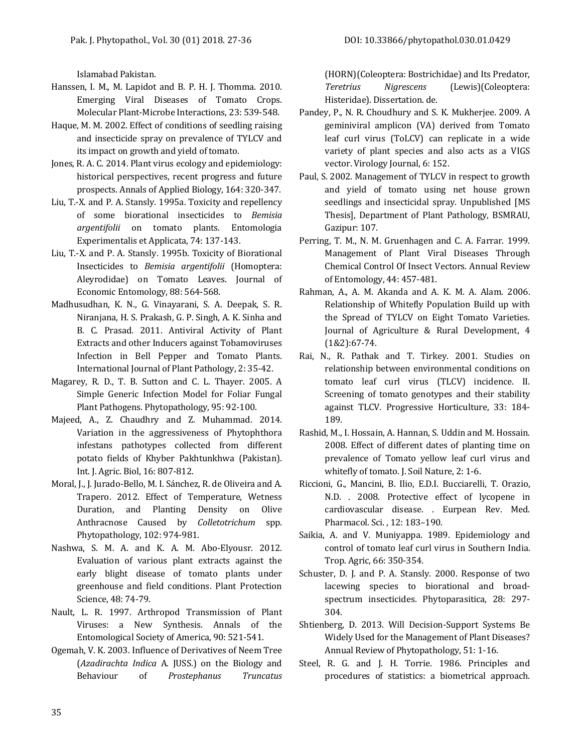Islamabad Pakistan.

- Hanssen, I. M., M. Lapidot and B. P. H. J. Thomma. 2010. Emerging Viral Diseases of Tomato Crops. Molecular Plant-Microbe Interactions, 23: 539-548.
- Haque, M. M. 2002. Effect of conditions of seedling raising and insecticide spray on prevalence of TYLCV and its impact on growth and yield of tomato.
- Jones, R. A. C. 2014. Plant virus ecology and epidemiology: historical perspectives, recent progress and future prospects. Annals of Applied Biology, 164: 320-347.
- Liu, T.-X. and P. A. Stansly. 1995a. Toxicity and repellency of some biorational insecticides to *Bemisia argentifolii* on tomato plants. Entomologia Experimentalis et Applicata, 74: 137-143.
- Liu, T.-X. and P. A. Stansly. 1995b. Toxicity of Biorational Insecticides to *Bemisia argentifolii* (Homoptera: Aleyrodidae) on Tomato Leaves. Journal of Economic Entomology, 88: 564-568.
- Madhusudhan, K. N., G. Vinayarani, S. A. Deepak, S. R. Niranjana, H. S. Prakash, G. P. Singh, A. K. Sinha and B. C. Prasad. 2011. Antiviral Activity of Plant Extracts and other Inducers against Tobamoviruses Infection in Bell Pepper and Tomato Plants. International Journal of Plant Pathology, 2: 35-42.
- Magarey, R. D., T. B. Sutton and C. L. Thayer. 2005. A Simple Generic Infection Model for Foliar Fungal Plant Pathogens. Phytopathology, 95: 92-100.
- Majeed, A., Z. Chaudhry and Z. Muhammad. 2014. Variation in the aggressiveness of Phytophthora infestans pathotypes collected from different potato fields of Khyber Pakhtunkhwa (Pakistan). Int. J. Agric. Biol, 16: 807-812.
- Moral, J., J. Jurado-Bello, M. I. Sánchez, R. de Oliveira and A. Trapero. 2012. Effect of Temperature, Wetness Duration, and Planting Density on Olive Anthracnose Caused by *Colletotrichum* spp. Phytopathology, 102: 974-981.
- Nashwa, S. M. A. and K. A. M. Abo-Elyousr. 2012. Evaluation of various plant extracts against the early blight disease of tomato plants under greenhouse and field conditions. Plant Protection Science, 48: 74-79.
- Nault, L. R. 1997. Arthropod Transmission of Plant Viruses: a New Synthesis. Annals of the Entomological Society of America, 90: 521-541.
- Ogemah, V. K. 2003. Influence of Derivatives of Neem Tree (*Azadirachta Indica* A. JUSS.) on the Biology and Behaviour of *Prostephanus Truncatus*

(HORN)(Coleoptera: Bostrichidae) and Its Predator, *Teretrius Nigrescens* (Lewis)(Coleoptera: Histeridae). Dissertation. de.

- Pandey, P., N. R. Choudhury and S. K. Mukherjee. 2009. A geminiviral amplicon (VA) derived from Tomato leaf curl virus (ToLCV) can replicate in a wide variety of plant species and also acts as a VIGS vector. Virology Journal, 6: 152.
- Paul, S. 2002. Management of TYLCV in respect to growth and yield of tomato using net house grown seedlings and insecticidal spray. Unpublished [MS Thesis], Department of Plant Pathology, BSMRAU, Gazipur: 107.
- Perring, T. M., N. M. Gruenhagen and C. A. Farrar. 1999. Management of Plant Viral Diseases Through Chemical Control Of Insect Vectors. Annual Review of Entomology, 44: 457-481.
- Rahman, A., A. M. Akanda and A. K. M. A. Alam. 2006. Relationship of Whitefly Population Build up with the Spread of TYLCV on Eight Tomato Varieties. Journal of Agriculture & Rural Development, 4 (1&2):67-74.
- Rai, N., R. Pathak and T. Tirkey. 2001. Studies on relationship between environmental conditions on tomato leaf curl virus (TLCV) incidence. II. Screening of tomato genotypes and their stability against TLCV. Progressive Horticulture, 33: 184- 189.
- Rashid, M., I. Hossain, A. Hannan, S. Uddin and M. Hossain. 2008. Effect of different dates of planting time on prevalence of Tomato yellow leaf curl virus and whitefly of tomato. J. Soil Nature, 2: 1-6.
- Riccioni, G., Mancini, B. Ilio, E.D.I. Bucciarelli, T. Orazio, N.D. . 2008. Protective effect of lycopene in cardiovascular disease. . Eurpean Rev. Med. Pharmacol. Sci. , 12: 183–190.
- Saikia, A. and V. Muniyappa. 1989. Epidemiology and control of tomato leaf curl virus in Southern India. Trop. Agric, 66: 350-354.
- Schuster, D. J. and P. A. Stansly. 2000. Response of two lacewing species to biorational and broadspectrum insecticides. Phytoparasitica, 28: 297- 304.
- Shtienberg, D. 2013. Will Decision-Support Systems Be Widely Used for the Management of Plant Diseases? Annual Review of Phytopathology, 51: 1-16.
- Steel, R. G. and J. H. Torrie. 1986. Principles and procedures of statistics: a biometrical approach.